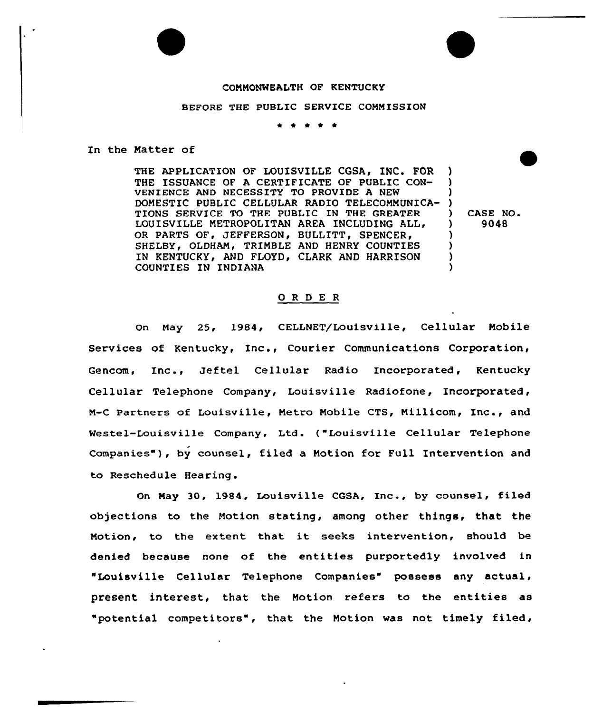## COMMONWEALTH OF KENTUCKY

## BEFORE THE PUBLIC SERVICE COMMISSION

In the Matter of

THE APPLICATION OF LOUISVILLE CGSA, INC. FOR THE ISSUANCE OF A CERTIFICATE OF PUBLIC CON-VENIENCE AND NECESSITY TO PROVIDE A NEW DOMESTIC PUBLIC CELLULAR RADIO TELECOMMUNICA-) TIONS SERVICE TO THE PUBLIC IN THE GREATER LOUISVILLE METROPOLITAN AREA INCLUDING ALL, OR PARTS OF, JEFFERSON, BULLITT, SPENCER, SHELBY, OLDHAM, TRIMBLE AND HENRY COUNTIES IN KENTUCKY, AND FLOYD, CLARK AND HARRISON COUNTIES IN INDIANA ) ) ) ) ) ) )

) CASE NO.<br> $\frac{1}{2}$  9048 ) 904B

## 0 R <sup>D</sup> E R

On Nay 25, 1984, CELLNET/Louisville, Cellular Mobile Services of Kentucky, Inc., Courier Communications Corporation, Gencom, Inc., Jeftel Cellular Radio Incorporated, Kentucky Cellular Telephone Company, Louisville Radiofone, Incorporated, M-C Partners of Louisville, Metro Mobile CTS, Nillicom, Inc., and Westel-Louisville Company, Ltd. ("Louisville Cellular Telephone Companies"), by counsel, filed a Motion for Full Intervention and to Reschedule Hearing.

On May 30, 1984, Louisville CGSA, Inc., by counsel, filed objections to the Notion stating, among other things, that the Notion, to the extent that it seeks intervention, should be denied because none of the entities purportedly involved in "Louisville Cellular Telephone Companies" possess any actual, present interest, that the Motion refers to the entities as "potential competitors", that the Notion was not timely filed,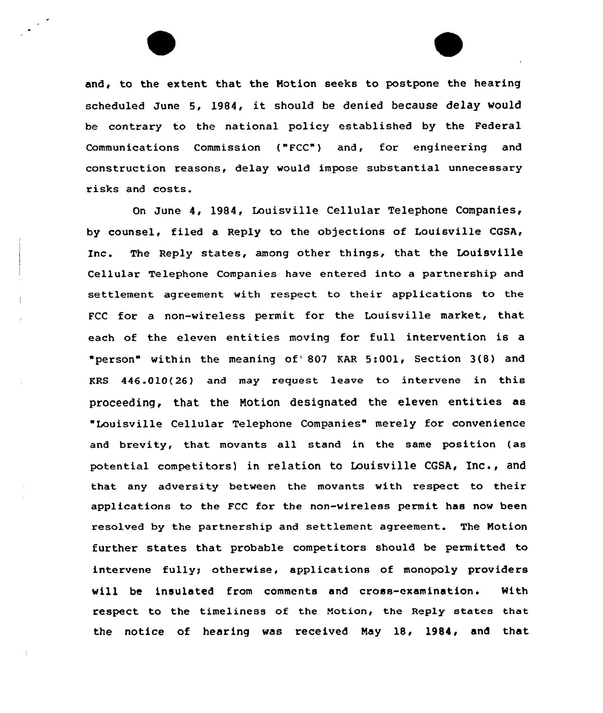and, to the extent that the Notion seeks to postpone the hearing scheduled June 5, 1984, it should be denied because delay would be contrary to the national policy established by the Federal Communications Commission ("FCC") and, for engineering and construction reasons, delay would impose substantial unnecessary risks and costs.

On June 4, 1984, Louisville Cellular Telephone Companies, by counsel, filed a Reply to the objections of Louisville CGSA, inc. The Reply states, among other things, that the Louisville Cellular Telephone Companies have entered into a partnership and settlement agreement with respect to their applications to the FCC for a non-wireless permit for the Louisville market, that each of the eleven entities moving for full intervention is a 'person" within the meaning of'07 KAR 5:001, Section 3(8) and KRS 446.010(26) and may request leave to intervene <mark>in thi</mark>: proceeding, that the Notion designated the eleven entities as "Louisville Cellular Telephone Companies" merely for convenience and brevity, that movants all stand in the same position (as potential competitors) in relation to Louisville CGSA, Inc., and that any adversity between the movants with respect to their applications to the FCC for the non-wireless permit has now been resolved by the partnership and settlement agreement. The Notion further states that probable competitors should be permitted to intervene fully; otherwise, applications of monopoly providers will be insulated from comments and cross-examination. With respect to the timeliness of the Notion, the Reply states that the notice of hearing was received Nay 18, 1984, and that